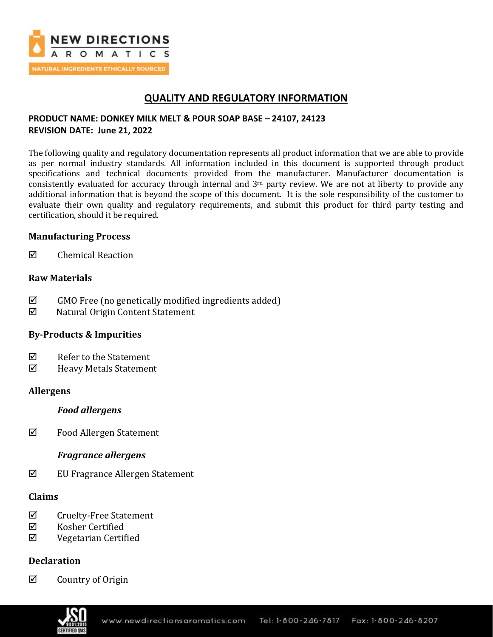

# **QUALITY AND REGULATORY INFORMATION**

## **PRODUCT NAME: DONKEY MILK MELT & POUR SOAP BASE – 24107, 24123 REVISION DATE: June 21, 2022**

The following quality and regulatory documentation represents all product information that we are able to provide as per normal industry standards. All information included in this document is supported through product specifications and technical documents provided from the manufacturer. Manufacturer documentation is consistently evaluated for accuracy through internal and  $3<sup>rd</sup>$  party review. We are not at liberty to provide any additional information that is beyond the scope of this document. It is the sole responsibility of the customer to evaluate their own quality and regulatory requirements, and submit this product for third party testing and certification, should it be required.

## **Manufacturing Process**

 $\boxtimes$  Chemical Reaction

## **Raw Materials**

- $\boxtimes$  GMO Free (no genetically modified ingredients added)
- Natural Origin Content Statement

## **By-Products & Impurities**

- $\boxtimes$  Refer to the Statement
- Heavy Metals Statement

### **Allergens**

### *Food allergens*

Food Allergen Statement

## *Fragrance allergens*

EU Fragrance Allergen Statement

## **Claims**

- $\boxtimes$  Cruelty-Free Statement
- Kosher Certified
- $\boxtimes$  Vegetarian Certified

## **Declaration**

 $\boxtimes$  Country of Origin

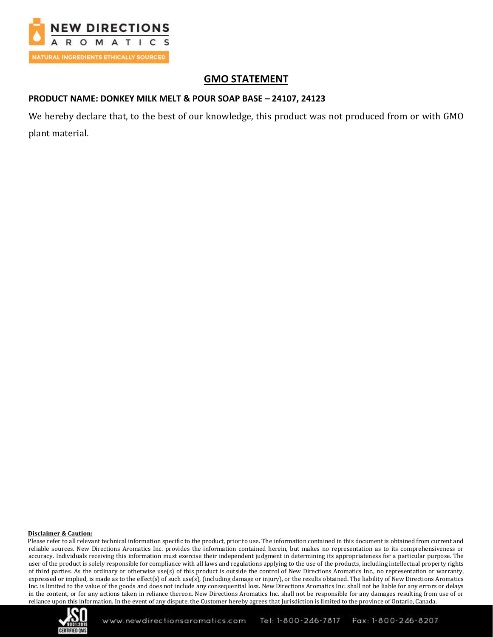

# **GMO STATEMENT**

## **PRODUCT NAME: DONKEY MILK MELT & POUR SOAP BASE – 24107, 24123**

We hereby declare that, to the best of our knowledge, this product was not produced from or with GMO plant material.

### **Disclaimer & Caution:**

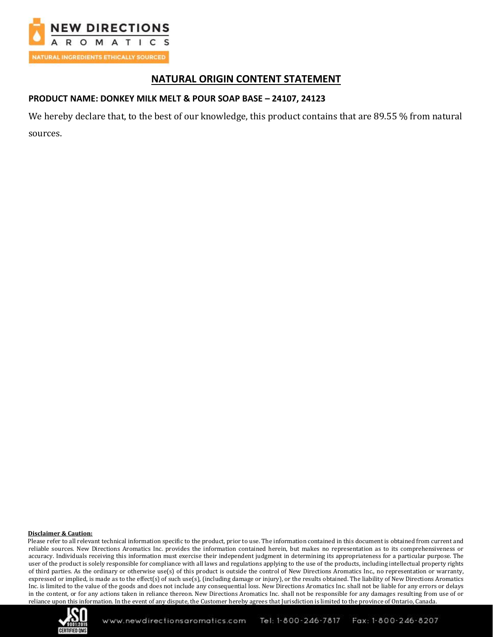

## **NATURAL ORIGIN CONTENT STATEMENT**

## **PRODUCT NAME: DONKEY MILK MELT & POUR SOAP BASE – 24107, 24123**

We hereby declare that, to the best of our knowledge, this product contains that are 89.55 % from natural sources.

#### **Disclaimer & Caution:**

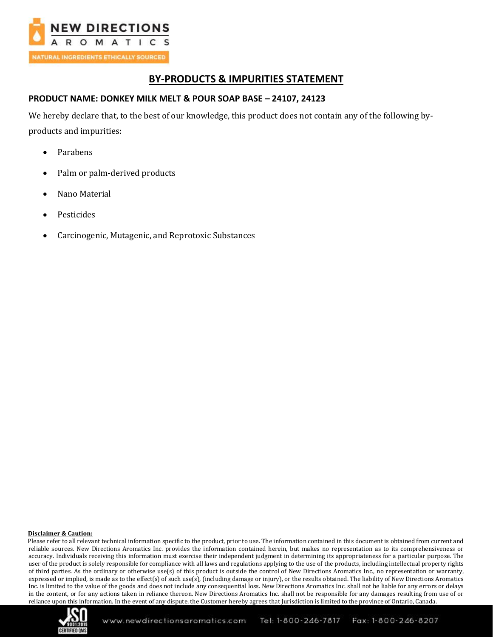

## **BY-PRODUCTS & IMPURITIES STATEMENT**

### **PRODUCT NAME: DONKEY MILK MELT & POUR SOAP BASE – 24107, 24123**

We hereby declare that, to the best of our knowledge, this product does not contain any of the following byproducts and impurities:

- Parabens
- Palm or palm-derived products
- Nano Material
- Pesticides
- Carcinogenic, Mutagenic, and Reprotoxic Substances

### **Disclaimer & Caution:**

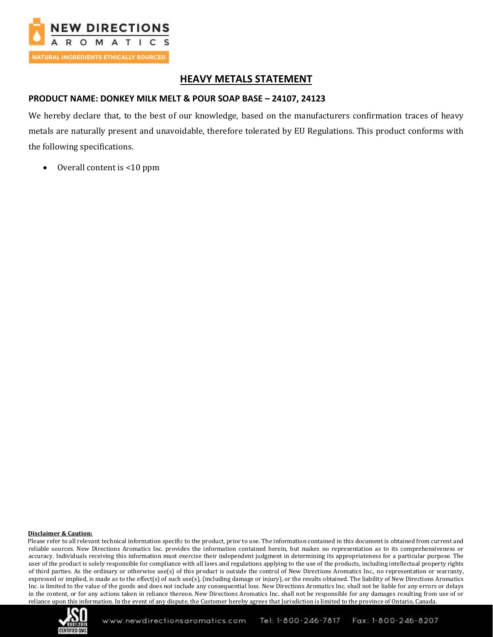

## **HEAVY METALS STATEMENT**

### **PRODUCT NAME: DONKEY MILK MELT & POUR SOAP BASE – 24107, 24123**

We hereby declare that, to the best of our knowledge, based on the manufacturers confirmation traces of heavy metals are naturally present and unavoidable, therefore tolerated by EU Regulations. This product conforms with the following specifications.

• Overall content is <10 ppm

### **Disclaimer & Caution:**

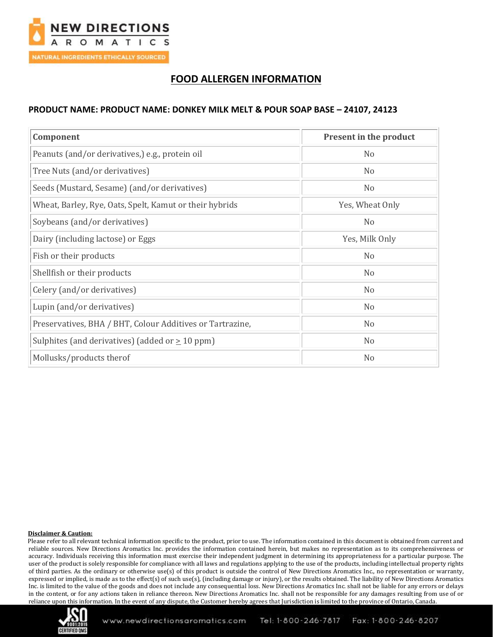

# **FOOD ALLERGEN INFORMATION**

### **PRODUCT NAME: PRODUCT NAME: DONKEY MILK MELT & POUR SOAP BASE – 24107, 24123**

| Component                                                 | Present in the product |
|-----------------------------------------------------------|------------------------|
| Peanuts (and/or derivatives,) e.g., protein oil           | N <sub>0</sub>         |
| Tree Nuts (and/or derivatives)                            | N <sub>0</sub>         |
| Seeds (Mustard, Sesame) (and/or derivatives)              | N <sub>o</sub>         |
| Wheat, Barley, Rye, Oats, Spelt, Kamut or their hybrids   | Yes, Wheat Only        |
| Soybeans (and/or derivatives)                             | N <sub>0</sub>         |
| Dairy (including lactose) or Eggs                         | Yes, Milk Only         |
| Fish or their products                                    | N <sub>o</sub>         |
| Shellfish or their products                               | N <sub>0</sub>         |
| Celery (and/or derivatives)                               | N <sub>0</sub>         |
| Lupin (and/or derivatives)                                | N <sub>0</sub>         |
| Preservatives, BHA / BHT, Colour Additives or Tartrazine, | N <sub>o</sub>         |
| Sulphites (and derivatives) (added or $\geq 10$ ppm)      | N <sub>0</sub>         |
| Mollusks/products therof                                  | N <sub>0</sub>         |

### **Disclaimer & Caution:**

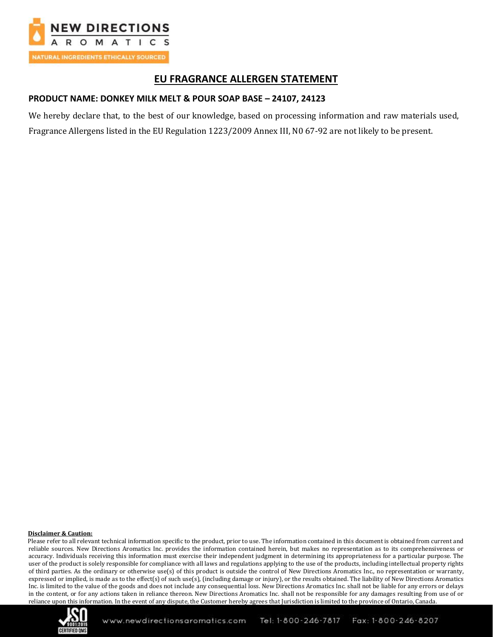

## **EU FRAGRANCE ALLERGEN STATEMENT**

### **PRODUCT NAME: DONKEY MILK MELT & POUR SOAP BASE – 24107, 24123**

We hereby declare that, to the best of our knowledge, based on processing information and raw materials used, Fragrance Allergens listed in the EU Regulation 1223/2009 Annex III, N0 67-92 are not likely to be present.

#### **Disclaimer & Caution:**

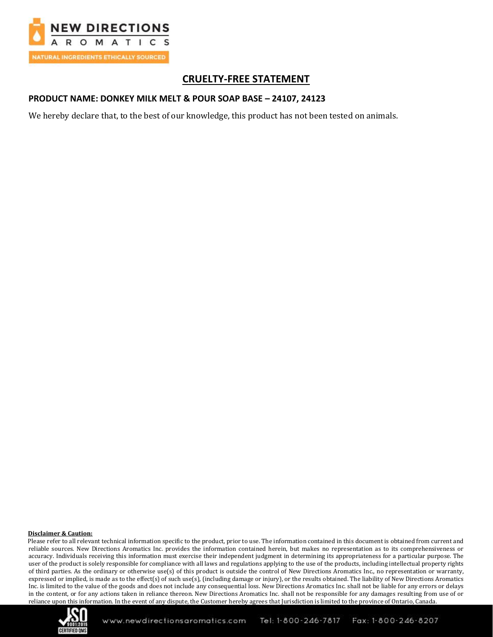

# **CRUELTY-FREE STATEMENT**

### **PRODUCT NAME: DONKEY MILK MELT & POUR SOAP BASE – 24107, 24123**

We hereby declare that, to the best of our knowledge, this product has not been tested on animals.

### **Disclaimer & Caution:**

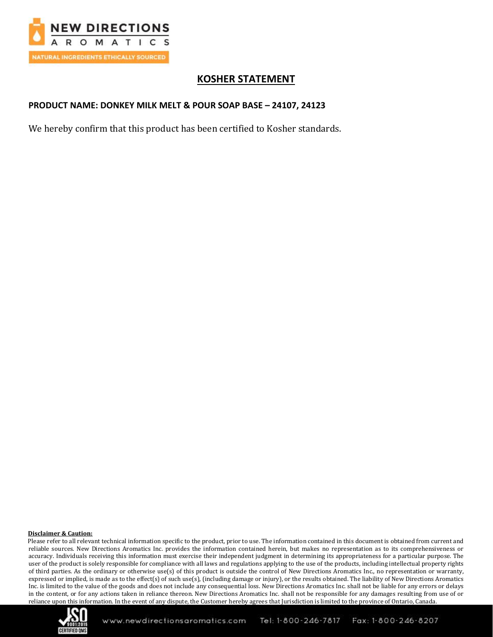

# **KOSHER STATEMENT**

## **PRODUCT NAME: DONKEY MILK MELT & POUR SOAP BASE – 24107, 24123**

We hereby confirm that this product has been certified to Kosher standards.

### **Disclaimer & Caution:**

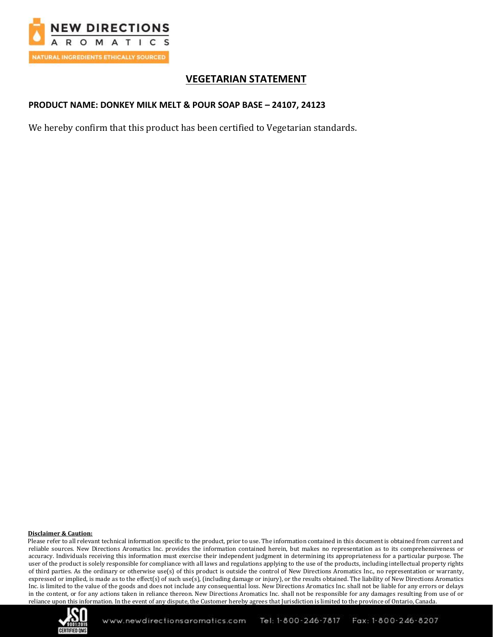

# **VEGETARIAN STATEMENT**

## **PRODUCT NAME: DONKEY MILK MELT & POUR SOAP BASE – 24107, 24123**

We hereby confirm that this product has been certified to Vegetarian standards.

#### **Disclaimer & Caution:**